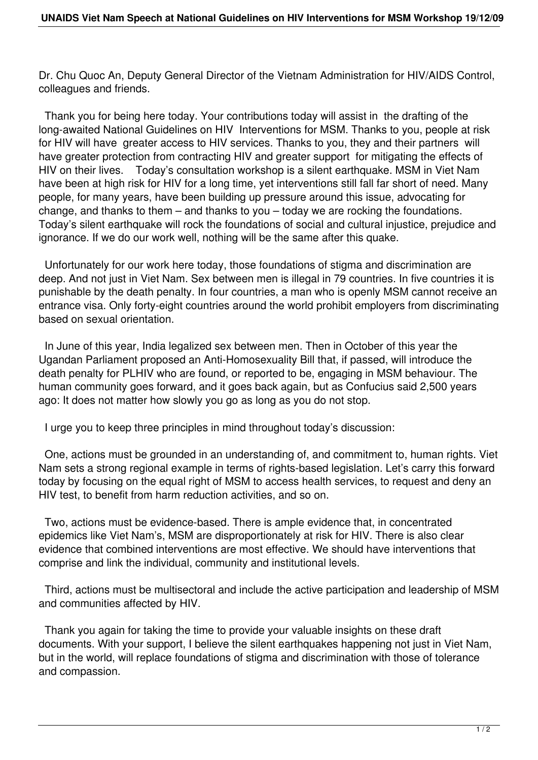Dr. Chu Quoc An, Deputy General Director of the Vietnam Administration for HIV/AIDS Control, colleagues and friends.

 Thank you for being here today. Your contributions today will assist in the drafting of the long-awaited National Guidelines on HIV Interventions for MSM. Thanks to you, people at risk for HIV will have greater access to HIV services. Thanks to you, they and their partners will have greater protection from contracting HIV and greater support for mitigating the effects of HIV on their lives. Today's consultation workshop is a silent earthquake. MSM in Viet Nam have been at high risk for HIV for a long time, yet interventions still fall far short of need. Many people, for many years, have been building up pressure around this issue, advocating for change, and thanks to them – and thanks to you – today we are rocking the foundations. Today's silent earthquake will rock the foundations of social and cultural injustice, prejudice and ignorance. If we do our work well, nothing will be the same after this quake.

 Unfortunately for our work here today, those foundations of stigma and discrimination are deep. And not just in Viet Nam. Sex between men is illegal in 79 countries. In five countries it is punishable by the death penalty. In four countries, a man who is openly MSM cannot receive an entrance visa. Only forty-eight countries around the world prohibit employers from discriminating based on sexual orientation.

 In June of this year, India legalized sex between men. Then in October of this year the Ugandan Parliament proposed an Anti-Homosexuality Bill that, if passed, will introduce the death penalty for PLHIV who are found, or reported to be, engaging in MSM behaviour. The human community goes forward, and it goes back again, but as Confucius said 2,500 years ago: It does not matter how slowly you go as long as you do not stop.

I urge you to keep three principles in mind throughout today's discussion:

 One, actions must be grounded in an understanding of, and commitment to, human rights. Viet Nam sets a strong regional example in terms of rights-based legislation. Let's carry this forward today by focusing on the equal right of MSM to access health services, to request and deny an HIV test, to benefit from harm reduction activities, and so on.

 Two, actions must be evidence-based. There is ample evidence that, in concentrated epidemics like Viet Nam's, MSM are disproportionately at risk for HIV. There is also clear evidence that combined interventions are most effective. We should have interventions that comprise and link the individual, community and institutional levels.

 Third, actions must be multisectoral and include the active participation and leadership of MSM and communities affected by HIV.

 Thank you again for taking the time to provide your valuable insights on these draft documents. With your support, I believe the silent earthquakes happening not just in Viet Nam, but in the world, will replace foundations of stigma and discrimination with those of tolerance and compassion.